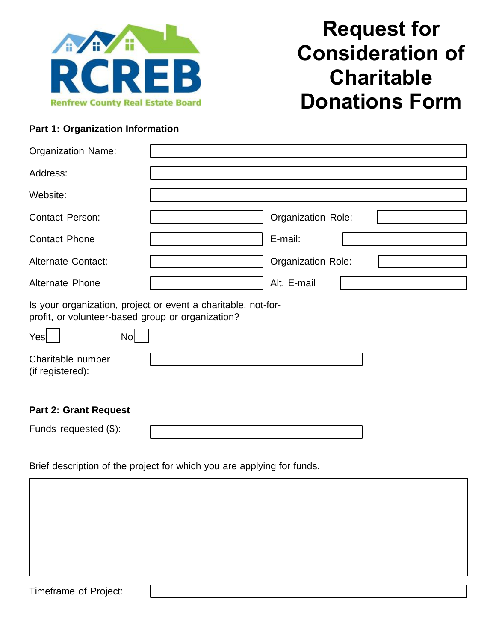

## **Request for Consideration of Charitable Donations Form**

## **Part 1: Organization Information**

| <b>Organization Name:</b>                                                                                                                    |                    |  |
|----------------------------------------------------------------------------------------------------------------------------------------------|--------------------|--|
| Address:                                                                                                                                     |                    |  |
| Website:                                                                                                                                     |                    |  |
| <b>Contact Person:</b>                                                                                                                       | Organization Role: |  |
| <b>Contact Phone</b>                                                                                                                         | E-mail:            |  |
| <b>Alternate Contact:</b>                                                                                                                    | Organization Role: |  |
| <b>Alternate Phone</b>                                                                                                                       | Alt. E-mail        |  |
| Is your organization, project or event a charitable, not-for-<br>profit, or volunteer-based group or organization?<br>Yes<br>No <sub>l</sub> |                    |  |
| Charitable number<br>(if registered):                                                                                                        |                    |  |
| <b>Part 2: Grant Request</b>                                                                                                                 |                    |  |
| Funds requested (\$):                                                                                                                        |                    |  |

Brief description of the project for which you are applying for funds.

Timeframe of Project: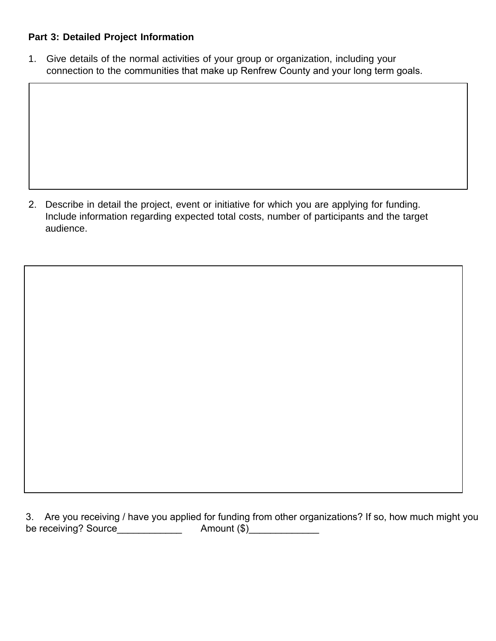## **Part 3: Detailed Project Information**

1. Give details of the normal activities of your group or organization, including your connection to the communities that make up Renfrew County and your long term goals.

2. Describe in detail the project, event or initiative for which you are applying for funding. Include information regarding expected total costs, number of participants and the target audience.

3. Are you receiving / have you applied for funding from other organizations? If so, how much might you be receiving? Source\_\_\_\_\_\_\_\_\_\_\_\_ Amount (\$)\_\_\_\_\_\_\_\_\_\_\_\_\_